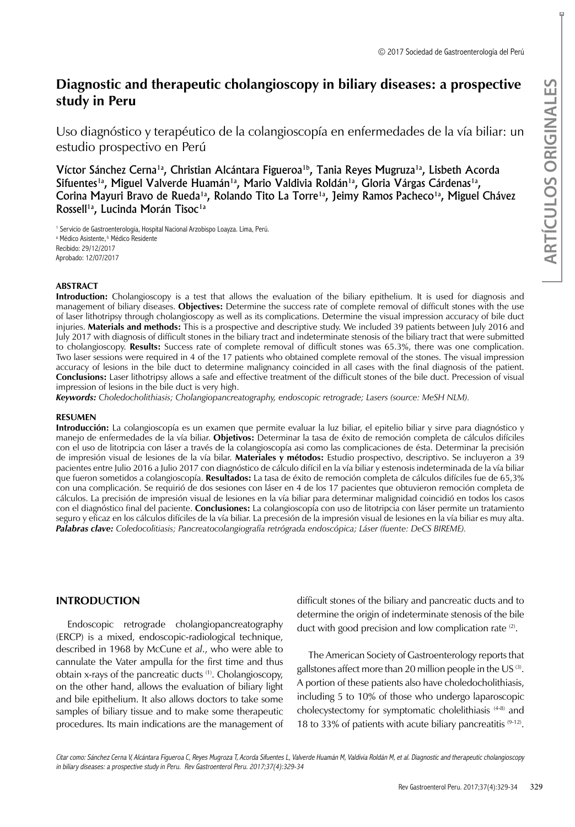# **Diagnostic and therapeutic cholangioscopy in biliary diseases: a prospective study in Peru**

Uso diagnóstico y terapéutico de la colangioscopía en enfermedades de la vía biliar: un estudio prospectivo en Perú

Víctor Sánchez Cerna<sup>1a</sup>, Christian Alcántara Figueroa<sup>1b</sup>, Tania Reyes Mugruza<sup>1a</sup>, Lisbeth Acorda Sifuentes<sup>1a</sup>, Miguel Valverde Huamán<sup>1a</sup>, Mario Valdivia Roldán<sup>1a</sup>, Gloria Várgas Cárdenas<sup>1a</sup>, Corina Mayuri Bravo de Rueda<sup>1a</sup>, Rolando Tito La Torre<sup>1a</sup>, Jeimy Ramos Pacheco<sup>1a</sup>, Miguel Chávez Rossell<sup>1a</sup>, Lucinda Morán Tisoc<sup>1a</sup>

<sup>1</sup> Servicio de Gastroenterología, Hospital Nacional Arzobispo Loayza. Lima, Perú. <sup>a</sup> Médico Asistente, <sup>b</sup> Médico Residente Recibido: 29/12/2017 Aprobado: 12/07/2017

### **ABSTRACT**

**Introduction:** Cholangioscopy is a test that allows the evaluation of the biliary epithelium. It is used for diagnosis and management of biliary diseases. **Objectives:** Determine the success rate of complete removal of difficult stones with the use of laser lithotripsy through cholangioscopy as well as its complications. Determine the visual impression accuracy of bile duct injuries. **Materials and methods:** This is a prospective and descriptive study. We included 39 patients between July 2016 and July 2017 with diagnosis of difficult stones in the biliary tract and indeterminate stenosis of the biliary tract that were submitted to cholangioscopy. **Results:** Success rate of complete removal of difficult stones was 65.3%, there was one complication. Two laser sessions were required in 4 of the 17 patients who obtained complete removal of the stones. The visual impression accuracy of lesions in the bile duct to determine malignancy coincided in all cases with the final diagnosis of the patient. **Conclusions:** Laser lithotripsy allows a safe and effective treatment of the difficult stones of the bile duct. Precession of visual impression of lesions in the bile duct is very high.

*Keywords: Choledocholithiasis; Cholangiopancreatography, endoscopic retrograde; Lasers (source: MeSH NLM).*

#### **RESUMEN**

**Example Solarist Constrained Solarist Constrained Solarist Constrained Validarist Constrained Validarist Constrained Validarist Constrained Validaties Constrained Validaties Constrained Dependence Oring Department of the Introducción:** La colangioscopía es un examen que permite evaluar la luz biliar, el epitelio biliar y sirve para diagnóstico y manejo de enfermedades de la vía biliar. **Objetivos:** Determinar la tasa de éxito de remoción completa de cálculos difíciles con el uso de litotripcia con láser a través de la colangioscopía asi como las complicaciones de ésta. Determinar la precisión de impresión visual de lesiones de la vía bilar. **Materiales y métodos:** Estudio prospectivo, descriptivo. Se incluyeron a 39 pacientes entre Julio 2016 a Julio 2017 con diagnóstico de cálculo difícil en la vía biliar y estenosis indeterminada de la vía biliar que fueron sometidos a colangioscopía. **Resultados:** La tasa de éxito de remoción completa de cálculos difíciles fue de 65,3% con una complicación. Se requirió de dos sesiones con láser en 4 de los 17 pacientes que obtuvieron remoción completa de cálculos. La precisión de impresión visual de lesiones en la vía biliar para determinar malignidad coincidió en todos los casos con el diagnóstico final del paciente. **Conclusiones:** La colangioscopía con uso de litotripcia con láser permite un tratamiento seguro y eficaz en los cálculos difíciles de la vía biliar. La precesión de la impresión visual de lesiones en la vía biliar es muy alta. *Palabras clave: Coledocolitiasis; Pancreatocolangiografía retrógrada endoscópica; Láser (fuente: DeCS BIREME).*

# **INTRODUCTION**

Endoscopic retrograde cholangiopancreatography (ERCP) is a mixed, endoscopic-radiological technique, described in 1968 by McCune *et al*., who were able to cannulate the Vater ampulla for the first time and thus obtain x-rays of the pancreatic ducts (1). Cholangioscopy, on the other hand, allows the evaluation of biliary light and bile epithelium. It also allows doctors to take some samples of biliary tissue and to make some therapeutic procedures. Its main indications are the management of difficult stones of the biliary and pancreatic ducts and to determine the origin of indeterminate stenosis of the bile duct with good precision and low complication rate  $(2)$ .

The American Society of Gastroenterology reports that gallstones affect more than 20 million people in the US (3). A portion of these patients also have choledocholithiasis, including 5 to 10% of those who undergo laparoscopic cholecystectomy for symptomatic cholelithiasis (4-8) and 18 to 33% of patients with acute biliary pancreatitis  $(9-12)$ .

Citar como: Sánchez Cerna V, Alcántara Figueroa C, Reyes Mugroza T, Acorda Sifuentes L, Valverde Huamán M, Valdivia Roldán M, et al. Diagnostic and therapeutic cholangioscopy in biliary diseases: a prospective study in Peru. Rev Gastroenterol Peru. 2017;37(4):329-34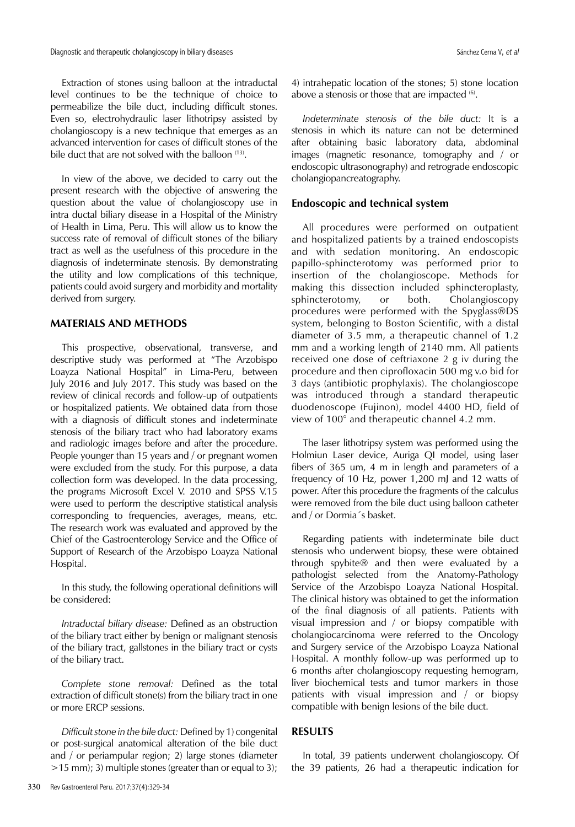Extraction of stones using balloon at the intraductal level continues to be the technique of choice to permeabilize the bile duct, including difficult stones. Even so, electrohydraulic laser lithotripsy assisted by cholangioscopy is a new technique that emerges as an advanced intervention for cases of difficult stones of the bile duct that are not solved with the balloon <sup>(13)</sup>.

In view of the above, we decided to carry out the present research with the objective of answering the question about the value of cholangioscopy use in intra ductal biliary disease in a Hospital of the Ministry of Health in Lima, Peru. This will allow us to know the success rate of removal of difficult stones of the biliary tract as well as the usefulness of this procedure in the diagnosis of indeterminate stenosis. By demonstrating the utility and low complications of this technique, patients could avoid surgery and morbidity and mortality derived from surgery.

## **MATERIALS AND METHODS**

This prospective, observational, transverse, and descriptive study was performed at "The Arzobispo Loayza National Hospital" in Lima-Peru, between July 2016 and July 2017. This study was based on the review of clinical records and follow-up of outpatients or hospitalized patients. We obtained data from those with a diagnosis of difficult stones and indeterminate stenosis of the biliary tract who had laboratory exams and radiologic images before and after the procedure. People younger than 15 years and / or pregnant women were excluded from the study. For this purpose, a data collection form was developed. In the data processing, the programs Microsoft Excel V. 2010 and SPSS V.15 were used to perform the descriptive statistical analysis corresponding to frequencies, averages, means, etc. The research work was evaluated and approved by the Chief of the Gastroenterology Service and the Office of Support of Research of the Arzobispo Loayza National Hospital.

In this study, the following operational definitions will be considered:

*Intraductal biliary disease:* Defined as an obstruction of the biliary tract either by benign or malignant stenosis of the biliary tract, gallstones in the biliary tract or cysts of the biliary tract.

*Complete stone removal:* Defined as the total extraction of difficult stone(s) from the biliary tract in one or more ERCP sessions.

*Difficult stone in the bile duct:* Defined by 1) congenital or post-surgical anatomical alteration of the bile duct and / or periampular region; 2) large stones (diameter >15 mm); 3) multiple stones (greater than or equal to 3);

4) intrahepatic location of the stones; 5) stone location above a stenosis or those that are impacted  $(6)$ .

*Indeterminate stenosis of the bile duct:* It is a stenosis in which its nature can not be determined after obtaining basic laboratory data, abdominal images (magnetic resonance, tomography and / or endoscopic ultrasonography) and retrograde endoscopic cholangiopancreatography.

### **Endoscopic and technical system**

All procedures were performed on outpatient and hospitalized patients by a trained endoscopists and with sedation monitoring. An endoscopic papillo-sphincterotomy was performed prior to insertion of the cholangioscope. Methods for making this dissection included sphincteroplasty, sphincterotomy, or both. Cholangioscopy procedures were performed with the Spyglass®DS system, belonging to Boston Scientific, with a distal diameter of 3.5 mm, a therapeutic channel of 1.2 mm and a working length of 2140 mm. All patients received one dose of ceftriaxone 2 g iv during the procedure and then ciprofloxacin 500 mg v.o bid for 3 days (antibiotic prophylaxis). The cholangioscope was introduced through a standard therapeutic duodenoscope (Fujinon), model 4400 HD, field of view of 100° and therapeutic channel 4.2 mm.

The laser lithotripsy system was performed using the Holmiun Laser device, Auriga QI model, using laser fibers of 365 um, 4 m in length and parameters of a frequency of 10 Hz, power 1,200 mJ and 12 watts of power. After this procedure the fragments of the calculus were removed from the bile duct using balloon catheter and / or Dormia´s basket.

Regarding patients with indeterminate bile duct stenosis who underwent biopsy, these were obtained through spybite® and then were evaluated by a pathologist selected from the Anatomy-Pathology Service of the Arzobispo Loayza National Hospital. The clinical history was obtained to get the information of the final diagnosis of all patients. Patients with visual impression and / or biopsy compatible with cholangiocarcinoma were referred to the Oncology and Surgery service of the Arzobispo Loayza National Hospital. A monthly follow-up was performed up to 6 months after cholangioscopy requesting hemogram, liver biochemical tests and tumor markers in those patients with visual impression and / or biopsy compatible with benign lesions of the bile duct.

# **RESULTS**

In total, 39 patients underwent cholangioscopy. Of the 39 patients, 26 had a therapeutic indication for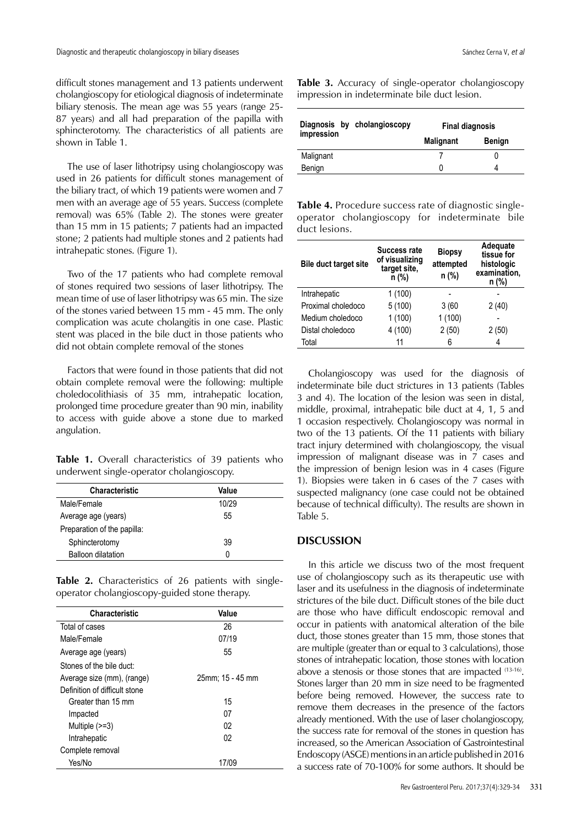difficult stones management and 13 patients underwent cholangioscopy for etiological diagnosis of indeterminate biliary stenosis. The mean age was 55 years (range 25- 87 years) and all had preparation of the papilla with sphincterotomy. The characteristics of all patients are shown in Table 1.

The use of laser lithotripsy using cholangioscopy was used in 26 patients for difficult stones management of the biliary tract, of which 19 patients were women and 7 men with an average age of 55 years. Success (complete removal) was 65% (Table 2). The stones were greater than 15 mm in 15 patients; 7 patients had an impacted stone; 2 patients had multiple stones and 2 patients had intrahepatic stones. (Figure 1).

Two of the 17 patients who had complete removal of stones required two sessions of laser lithotripsy. The mean time of use of laser lithotripsy was 65 min. The size of the stones varied between 15 mm - 45 mm. The only complication was acute cholangitis in one case. Plastic stent was placed in the bile duct in those patients who did not obtain complete removal of the stones

Factors that were found in those patients that did not obtain complete removal were the following: multiple choledocolithiasis of 35 mm, intrahepatic location, prolonged time procedure greater than 90 min, inability to access with guide above a stone due to marked angulation.

**Table 1.** Overall characteristics of 39 patients who underwent single-operator cholangioscopy.

| <b>Characteristic</b>       | Value |  |
|-----------------------------|-------|--|
| Male/Female                 | 10/29 |  |
| Average age (years)         | 55    |  |
| Preparation of the papilla: |       |  |
| Sphincterotomy              | 39    |  |
| Balloon dilatation          | O     |  |

**Table 2.** Characteristics of 26 patients with singleoperator cholangioscopy-guided stone therapy.

| <b>Characteristic</b>         | Value            |  |
|-------------------------------|------------------|--|
| Total of cases                | 26               |  |
| Male/Female                   | 07/19            |  |
| Average age (years)           | 55               |  |
| Stones of the bile duct:      |                  |  |
| Average size (mm), (range)    | 25mm; 15 - 45 mm |  |
| Definition of difficult stone |                  |  |
| Greater than 15 mm            | 15               |  |
| Impacted                      | 07               |  |
| Multiple $(>=3)$              | 02               |  |
| Intrahepatic                  | 02               |  |
| Complete removal              |                  |  |
| Yes/No                        | 17/09            |  |

**Table 3.** Accuracy of single-operator cholangioscopy impression in indeterminate bile duct lesion.

| Diagnosis by cholangioscopy<br>impression | <b>Final diagnosis</b> |               |
|-------------------------------------------|------------------------|---------------|
|                                           | <b>Malignant</b>       | <b>Benign</b> |
| Malignant                                 |                        |               |
| Benign                                    |                        |               |
|                                           |                        |               |

**Table 4.** Procedure success rate of diagnostic singleoperator cholangioscopy for indeterminate bile duct lesions.

| <b>Bile duct target site</b> | <b>Success rate</b><br>of visualizing<br>target site,<br>n (%) | <b>Biopsy</b><br>attempted<br>n (%) | Adequate<br>tissue for<br>histologic<br>examination,<br>n (%) |
|------------------------------|----------------------------------------------------------------|-------------------------------------|---------------------------------------------------------------|
| Intrahepatic                 | 1(100)                                                         |                                     |                                                               |
| Proximal choledoco           | 5(100)                                                         | 3(60)                               | 2(40)                                                         |
| Medium choledoco             | 1(100)                                                         | 1(100)                              |                                                               |
| Distal choledoco             | 4 (100)                                                        | 2(50)                               | 2(50)                                                         |
| Total                        | 11                                                             | 6                                   | 4                                                             |

Cholangioscopy was used for the diagnosis of indeterminate bile duct strictures in 13 patients (Tables 3 and 4). The location of the lesion was seen in distal, middle, proximal, intrahepatic bile duct at 4, 1, 5 and 1 occasion respectively. Cholangioscopy was normal in two of the 13 patients. Of the 11 patients with biliary tract injury determined with cholangioscopy, the visual impression of malignant disease was in 7 cases and the impression of benign lesion was in 4 cases (Figure 1). Biopsies were taken in 6 cases of the 7 cases with suspected malignancy (one case could not be obtained because of technical difficulty). The results are shown in Table 5.

# **DISCUSSION**

In this article we discuss two of the most frequent use of cholangioscopy such as its therapeutic use with laser and its usefulness in the diagnosis of indeterminate strictures of the bile duct. Difficult stones of the bile duct are those who have difficult endoscopic removal and occur in patients with anatomical alteration of the bile duct, those stones greater than 15 mm, those stones that are multiple (greater than or equal to 3 calculations), those stones of intrahepatic location, those stones with location above a stenosis or those stones that are impacted (13-16). Stones larger than 20 mm in size need to be fragmented before being removed. However, the success rate to remove them decreases in the presence of the factors already mentioned. With the use of laser cholangioscopy, the success rate for removal of the stones in question has increased, so the American Association of Gastrointestinal Endoscopy (ASGE) mentions in an article published in 2016 a success rate of 70-100% for some authors. It should be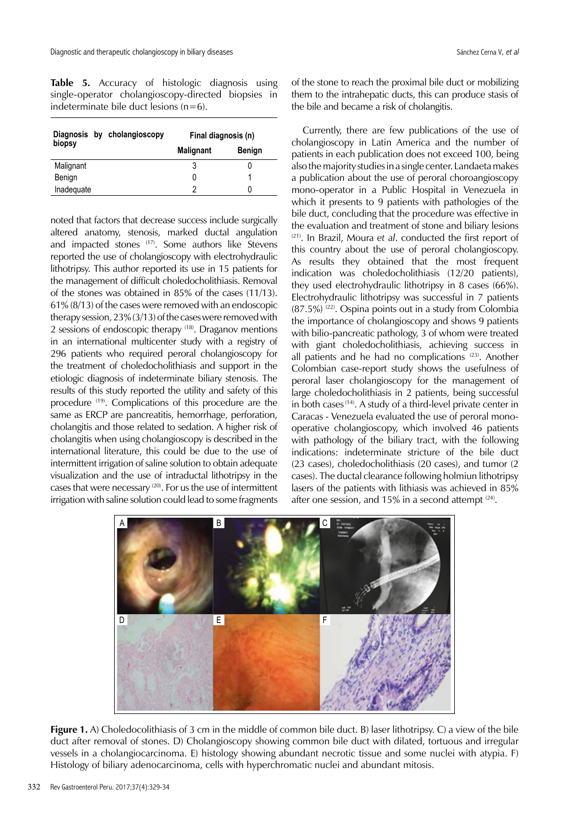**Table 5.** Accuracy of histologic diagnosis using single-operator cholangioscopy-directed biopsies in indeterminate bile duct lesions  $(n=6)$ .

|            | Diagnosis by cholangioscopy | Final diagnosis (n) |               |
|------------|-----------------------------|---------------------|---------------|
| biopsy     |                             | <b>Malignant</b>    | <b>Benign</b> |
| Malignant  |                             |                     |               |
| Benign     |                             |                     |               |
| Inadequate |                             |                     |               |

noted that factors that decrease success include surgically altered anatomy, stenosis, marked ductal angulation and impacted stones (17). Some authors like Stevens reported the use of cholangioscopy with electrohydraulic lithotripsy. This author reported its use in 15 patients for the management of difficult choledocholithiasis. Removal of the stones was obtained in 85% of the cases (11/13). 61% (8/13) of the cases were removed with an endoscopic therapy session, 23% (3/13) of the cases were removed with 2 sessions of endoscopic therapy (18). Draganov mentions in an international multicenter study with a registry of 296 patients who required peroral cholangioscopy for the treatment of choledocholithiasis and support in the etiologic diagnosis of indeterminate biliary stenosis. The results of this study reported the utility and safety of this procedure (19). Complications of this procedure are the same as ERCP are pancreatitis, hemorrhage, perforation, cholangitis and those related to sedation. A higher risk of cholangitis when using cholangioscopy is described in the international literature, this could be due to the use of intermittent irrigation of saline solution to obtain adequate visualization and the use of intraductal lithotripsy in the cases that were necessary <sup>(20)</sup>. For us the use of intermittent irrigation with saline solution could lead to some fragments

of the stone to reach the proximal bile duct or mobilizing them to the intrahepatic ducts, this can produce stasis of the bile and became a risk of cholangitis.

Currently, there are few publications of the use of cholangioscopy in Latin America and the number of patients in each publication does not exceed 100, being also the majority studies in a single center. Landaeta makes a publication about the use of peroral choroangioscopy mono-operator in a Public Hospital in Venezuela in which it presents to 9 patients with pathologies of the bile duct, concluding that the procedure was effective in the evaluation and treatment of stone and biliary lesions (21). In Brazil, Moura *et al*. conducted the first report of this country about the use of peroral cholangioscopy. As results they obtained that the most frequent indication was choledocholithiasis (12/20 patients), they used electrohydraulic lithotripsy in 8 cases (66%). Electrohydraulic lithotripsy was successful in 7 patients  $(87.5%)$   $(22)$ . Ospina points out in a study from Colombia the importance of cholangioscopy and shows 9 patients with bilio-pancreatic pathology, 3 of whom were treated with giant choledocholithiasis, achieving success in all patients and he had no complications<sup>(23)</sup>. Another Colombian case-report study shows the usefulness of peroral laser cholangioscopy for the management of large choledocholithiasis in 2 patients, being successful in both cases (14). A study of a third-level private center in Caracas - Venezuela evaluated the use of peroral monooperative cholangioscopy, which involved 46 patients with pathology of the biliary tract, with the following indications: indeterminate stricture of the bile duct (23 cases), choledocholithiasis (20 cases), and tumor (2 cases). The ductal clearance following holmiun lithotripsy lasers of the patients with lithiasis was achieved in 85% after one session, and 15% in a second attempt  $(24)$ .



**Figure 1.** A) Choledocolithiasis of 3 cm in the middle of common bile duct. B) laser lithotripsy. C) a view of the bile duct after removal of stones. D) Cholangioscopy showing common bile duct with dilated, tortuous and irregular vessels in a cholangiocarcinoma. E) histology showing abundant necrotic tissue and some nuclei with atypia. F) Histology of biliary adenocarcinoma, cells with hyperchromatic nuclei and abundant mitosis.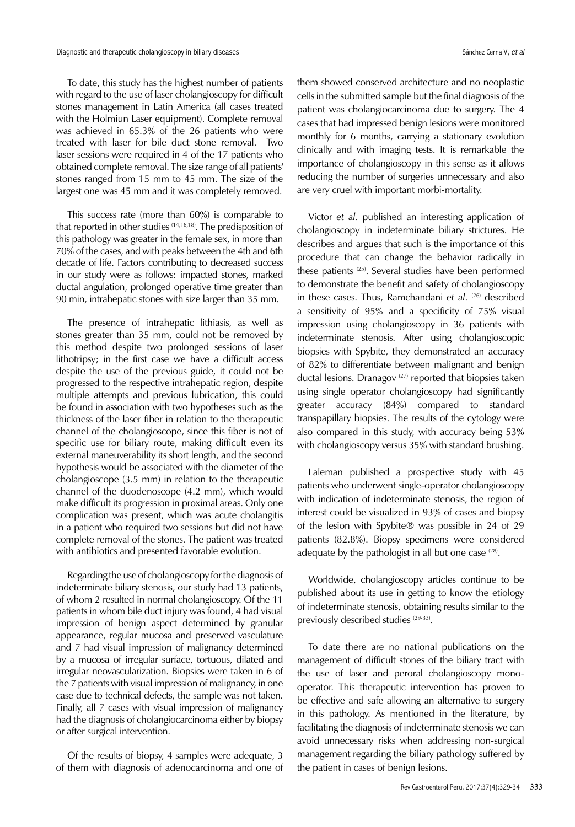Diagnostic and therapeutic cholangioscopy in biliary diseases Sanchez Cerna V, et al. Sánchez Cerna V, et al.

To date, this study has the highest number of patients with regard to the use of laser cholangioscopy for difficult stones management in Latin America (all cases treated with the Holmiun Laser equipment). Complete removal was achieved in 65.3% of the 26 patients who were treated with laser for bile duct stone removal. Two laser sessions were required in 4 of the 17 patients who obtained complete removal. The size range of all patients' stones ranged from 15 mm to 45 mm. The size of the largest one was 45 mm and it was completely removed.

This success rate (more than 60%) is comparable to that reported in other studies (14,16,18). The predisposition of this pathology was greater in the female sex, in more than 70% of the cases, and with peaks between the 4th and 6th decade of life. Factors contributing to decreased success in our study were as follows: impacted stones, marked ductal angulation, prolonged operative time greater than 90 min, intrahepatic stones with size larger than 35 mm.

The presence of intrahepatic lithiasis, as well as stones greater than 35 mm, could not be removed by this method despite two prolonged sessions of laser lithotripsy; in the first case we have a difficult access despite the use of the previous guide, it could not be progressed to the respective intrahepatic region, despite multiple attempts and previous lubrication, this could be found in association with two hypotheses such as the thickness of the laser fiber in relation to the therapeutic channel of the cholangioscope, since this fiber is not of specific use for biliary route, making difficult even its external maneuverability its short length, and the second hypothesis would be associated with the diameter of the cholangioscope (3.5 mm) in relation to the therapeutic channel of the duodenoscope (4.2 mm), which would make difficult its progression in proximal areas. Only one complication was present, which was acute cholangitis in a patient who required two sessions but did not have complete removal of the stones. The patient was treated with antibiotics and presented favorable evolution.

Regarding the use of cholangioscopy for the diagnosis of indeterminate biliary stenosis, our study had 13 patients, of whom 2 resulted in normal cholangioscopy. Of the 11 patients in whom bile duct injury was found, 4 had visual impression of benign aspect determined by granular appearance, regular mucosa and preserved vasculature and 7 had visual impression of malignancy determined by a mucosa of irregular surface, tortuous, dilated and irregular neovascularization. Biopsies were taken in 6 of the 7 patients with visual impression of malignancy, in one case due to technical defects, the sample was not taken. Finally, all 7 cases with visual impression of malignancy had the diagnosis of cholangiocarcinoma either by biopsy or after surgical intervention.

Of the results of biopsy, 4 samples were adequate, 3 of them with diagnosis of adenocarcinoma and one of them showed conserved architecture and no neoplastic cells in the submitted sample but the final diagnosis of the patient was cholangiocarcinoma due to surgery. The 4 cases that had impressed benign lesions were monitored monthly for 6 months, carrying a stationary evolution clinically and with imaging tests. It is remarkable the importance of cholangioscopy in this sense as it allows reducing the number of surgeries unnecessary and also are very cruel with important morbi-mortality.

Victor *et al*. published an interesting application of cholangioscopy in indeterminate biliary strictures. He describes and argues that such is the importance of this procedure that can change the behavior radically in these patients<sup>(25)</sup>. Several studies have been performed to demonstrate the benefit and safety of cholangioscopy in these cases. Thus, Ramchandani et al. (26) described a sensitivity of 95% and a specificity of 75% visual impression using cholangioscopy in 36 patients with indeterminate stenosis. After using cholangioscopic biopsies with Spybite, they demonstrated an accuracy of 82% to differentiate between malignant and benign ductal lesions. Dranagov<sup>(27)</sup> reported that biopsies taken using single operator cholangioscopy had significantly greater accuracy (84%) compared to standard transpapillary biopsies. The results of the cytology were also compared in this study, with accuracy being 53% with cholangioscopy versus 35% with standard brushing.

Laleman published a prospective study with 45 patients who underwent single-operator cholangioscopy with indication of indeterminate stenosis, the region of interest could be visualized in 93% of cases and biopsy of the lesion with Spybite® was possible in 24 of 29 patients (82.8%). Biopsy specimens were considered adequate by the pathologist in all but one case <sup>(28)</sup>.

Worldwide, cholangioscopy articles continue to be published about its use in getting to know the etiology of indeterminate stenosis, obtaining results similar to the previously described studies (29-33).

To date there are no national publications on the management of difficult stones of the biliary tract with the use of laser and peroral cholangioscopy monooperator. This therapeutic intervention has proven to be effective and safe allowing an alternative to surgery in this pathology. As mentioned in the literature, by facilitating the diagnosis of indeterminate stenosis we can avoid unnecessary risks when addressing non-surgical management regarding the biliary pathology suffered by the patient in cases of benign lesions.